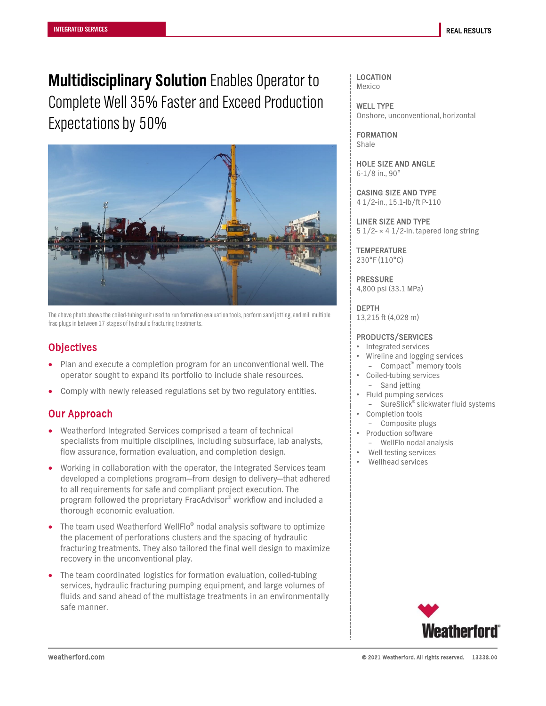**Multidisciplinary Solution** Enables Operator to Complete Well 35% Faster and Exceed Production Expectations by 50%



The above photo shows the coiled-tubing unit used to run formation evaluation tools, perform sand jetting, and mill multiple frac plugs in between 17 stages of hydraulic fracturing treatments.

## **Objectives**

- Plan and execute a completion program for an unconventional well. The operator sought to expand its portfolio to include shale resources.
- Comply with newly released regulations set by two regulatory entities.

## Our Approach

- Weatherford Integrated Services comprised a team of technical specialists from multiple disciplines, including subsurface, lab analysts, flow assurance, formation evaluation, and completion design.
- Working in collaboration with the operator, the Integrated Services team developed a completions program—from design to delivery—that adhered to all requirements for safe and compliant project execution. The program followed the proprietary FracAdvisor® workflow and included a thorough economic evaluation.
- The team used Weatherford WellFlo® nodal analysis software to optimize the placement of perforations clusters and the spacing of hydraulic fracturing treatments. They also tailored the final well design to maximize recovery in the unconventional play.
- The team coordinated logistics for formation evaluation, coiled-tubing services, hydraulic fracturing pumping equipment, and large volumes of fluids and sand ahead of the multistage treatments in an environmentally safe manner.

LOCATION Mexico

WELL TYPE Onshore, unconventional, horizontal

FORMATION Shale

HOLE SIZE AND ANGLE 6-1/8 in., 90°

CASING SIZE AND TYPE 4 1/2-in., 15.1-lb/ft P-110

LINER SIZE AND TYPE 5  $1/2$ - × 4  $1/2$ -in. tapered long string

**TEMPERATURE** 230°F (110°C)

PRESSURE 4,800 psi (33.1 MPa)

DEPTH

13,215 ft (4,028 m)

### PRODUCTS/SERVICES

- Integrated services
- Wireline and logging services – Compact™ memory tools
- Coiled-tubing services – Sand jetting
	- Fluid pumping services
	- SureSlick<sup>®</sup> slickwater fluid systems
- Completion tools
- Composite plugs
- Production software
- WellFlo nodal analysis
- Well testing services Wellhead services